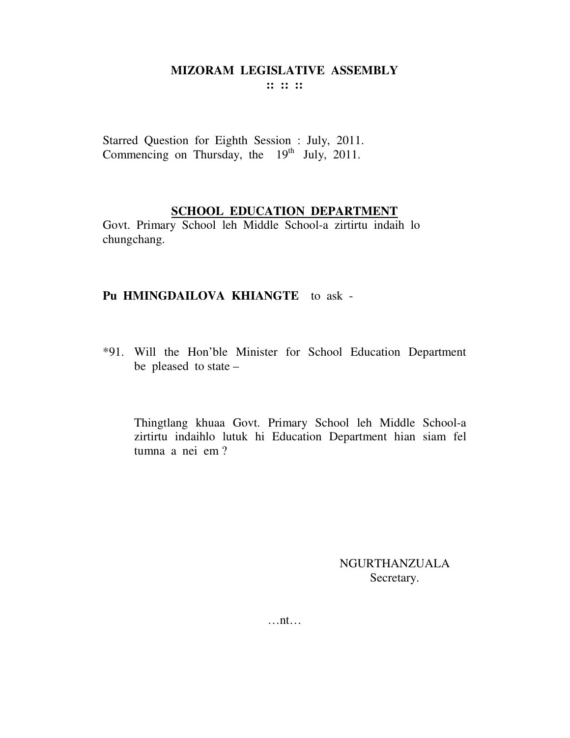**:: :: ::** 

Starred Question for Eighth Session : July, 2011. Commencing on Thursday, the  $19<sup>th</sup>$  July, 2011.

## **SCHOOL EDUCATION DEPARTMENT**

Govt. Primary School leh Middle School-a zirtirtu indaih lo chungchang.

## **Pu HMINGDAILOVA KHIANGTE** to ask -

\*91. Will the Hon'ble Minister for School Education Department be pleased to state –

 Thingtlang khuaa Govt. Primary School leh Middle School-a zirtirtu indaihlo lutuk hi Education Department hian siam fel tumna a nei em ?

> NGURTHANZUALA Secretary.

…nt…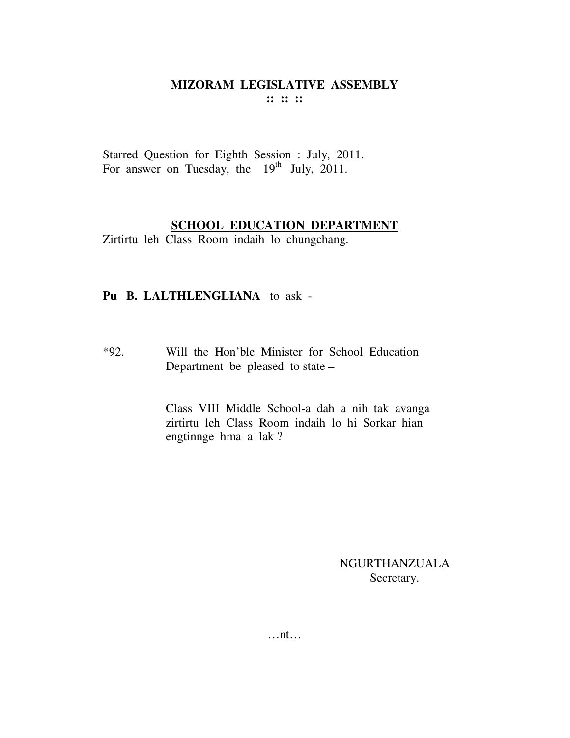Starred Question for Eighth Session : July, 2011. For answer on Tuesday, the  $19<sup>th</sup>$  July, 2011.

#### **SCHOOL EDUCATION DEPARTMENT**

Zirtirtu leh Class Room indaih lo chungchang.

## **Pu B. LALTHLENGLIANA** to ask -

\*92. Will the Hon'ble Minister for School Education Department be pleased to state –

> Class VIII Middle School-a dah a nih tak avanga zirtirtu leh Class Room indaih lo hi Sorkar hian engtinnge hma a lak ?

#### NGURTHANZUALA Secretary.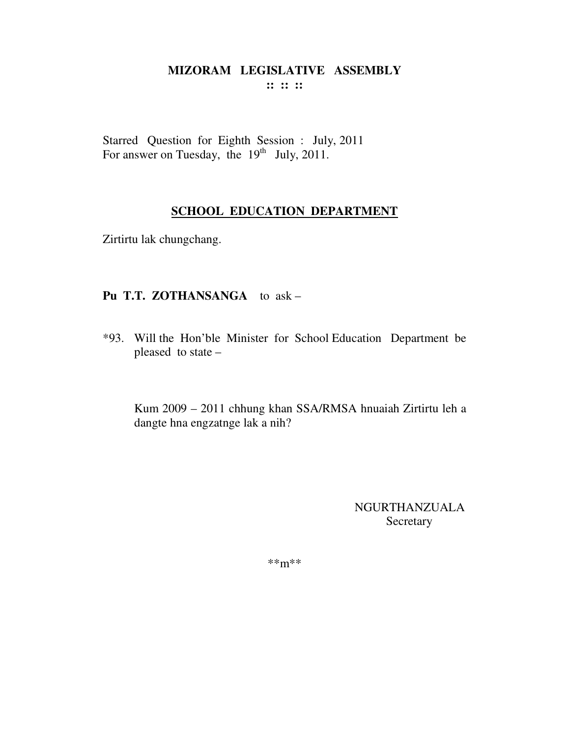Starred Question for Eighth Session : July, 2011<br>For answer on Tuesday, the 19<sup>th</sup> July, 2011.

# **SCHOOL EDUCATION DEPARTMENT**

Zirtirtu lak chungchang.

## Pu T.T. ZOTHANSANGA to ask -

\*93. Will the Hon'ble Minister for School Education Department be pleased to state -

Kum 2009 - 2011 chhung khan SSA/RMSA hnuaiah Zirtirtu leh a dangte hna engzatnge lak a nih?

> NGURTHANZUALA Secretary

 $***m***$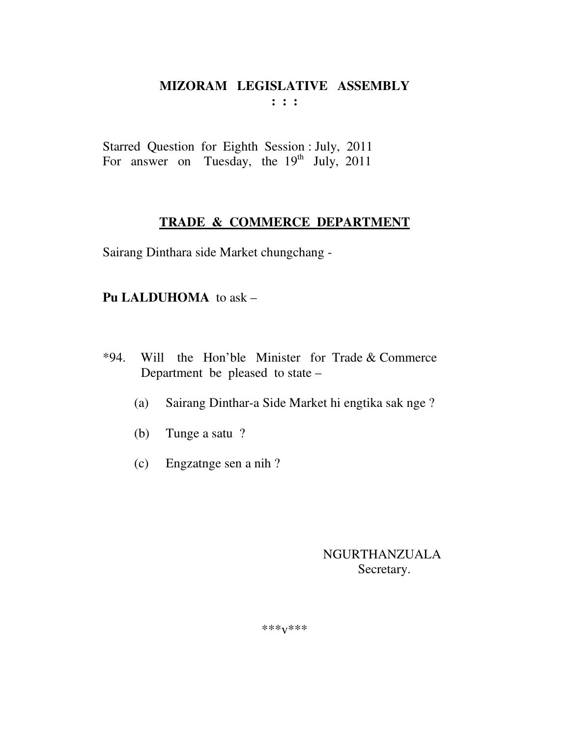Starred Question for Eighth Session : July, 2011 For answer on Tuesday, the 19<sup>th</sup> July, 2011

# TRADE & COMMERCE DEPARTMENT

Sairang Dinthara side Market chungchang -

# Pu LALDUHOMA to ask -

- Will the Hon'ble Minister for Trade & Commerce  $*94.$ Department be pleased to state –
	- Sairang Dinthar-a Side Market hi engtika sak nge?  $(a)$
	- (b) Tunge a satu?
	- $(c)$  Engzatnge sen a nih?

# **NGURTHANZUALA** Secretary.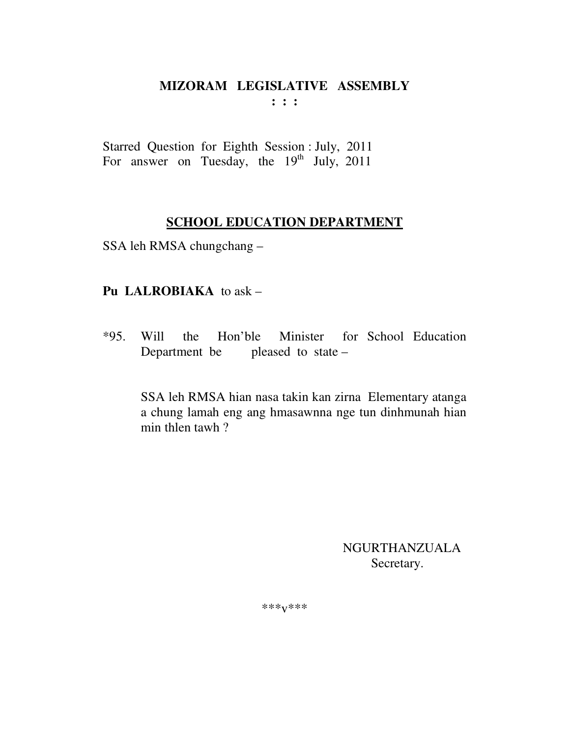Starred Question for Eighth Session : July, 2011 For answer on Tuesday, the  $19<sup>th</sup>$  July, 2011

# **SCHOOL EDUCATION DEPARTMENT**

SSA leh RMSA chungchang –

# **Pu LALROBIAKA** to ask –

\*95. Will the Hon'ble Minister for School Education Department be pleased to state –

> SSA leh RMSA hian nasa takin kan zirna Elementary atanga a chung lamah eng ang hmasawnna nge tun dinhmunah hian min thlen tawh ?

> > NGURTHANZUALA Secretary.

\*\*\*v\*\*\*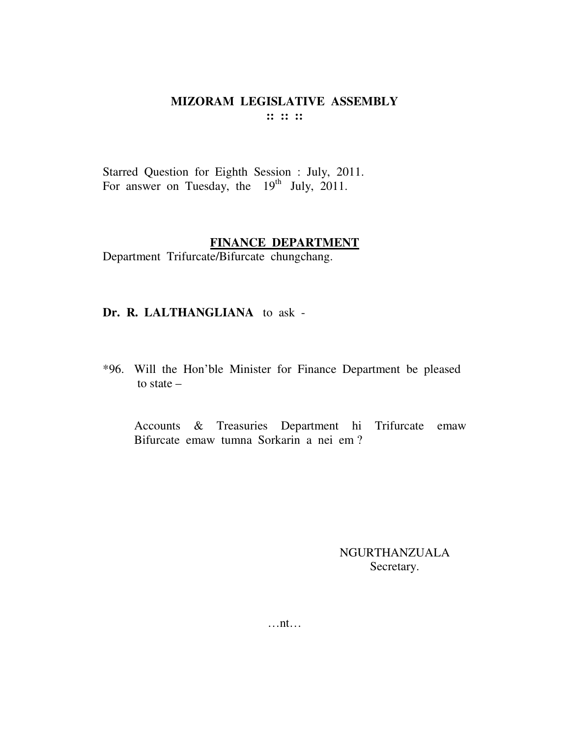#### MIZORAM LEGISLATIVE ASSEMBLY  $\mathbf{11} \mathbf{11} \mathbf{11}$

Starred Question for Eighth Session : July, 2011. For answer on Tuesday, the  $19^{th}$  July, 2011.

#### FINANCE DEPARTMENT

Department Trifurcate/Bifurcate chungchang.

#### Dr. R. LALTHANGLIANA to ask -

\*96. Will the Hon'ble Minister for Finance Department be pleased to state  $-$ 

Accounts & Treasuries Department hi Trifurcate emaw Bifurcate emaw tumna Sorkarin a nei em?

> **NGURTHANZUALA** Secretary.

 $\dots$ nt $\dots$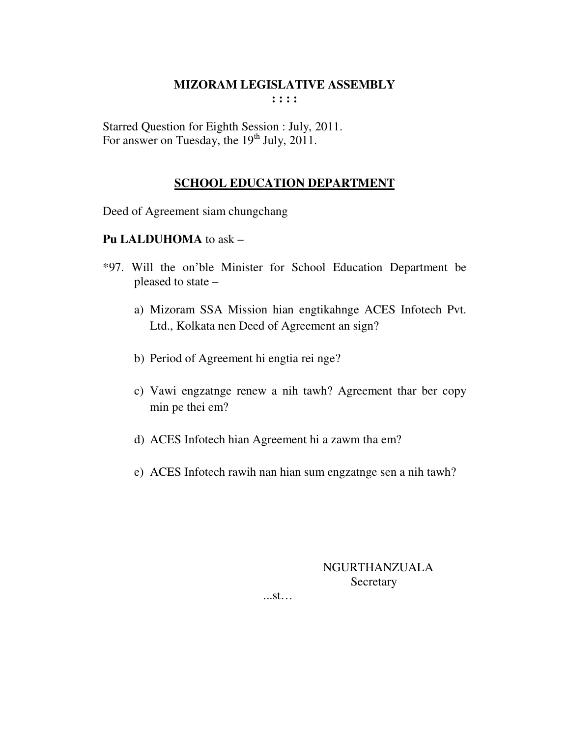Starred Question for Eighth Session : July, 2011. For answer on Tuesday, the  $19<sup>th</sup>$  July, 2011.

# **SCHOOL EDUCATION DEPARTMENT**

Deed of Agreement siam chungchang

## **Pu LALDUHOMA** to ask –

- \*97. Will the on'ble Minister for School Education Department be pleased to state –
	- a) Mizoram SSA Mission hian engtikahnge ACES Infotech Pvt. Ltd., Kolkata nen Deed of Agreement an sign?
	- b) Period of Agreement hi engtia rei nge?
	- c) Vawi engzatnge renew a nih tawh? Agreement thar ber copy min pe thei em?
	- d) ACES Infotech hian Agreement hi a zawm tha em?
	- e) ACES Infotech rawih nan hian sum engzatnge sen a nih tawh?

NGURTHANZUALA **Secretary** 

...st…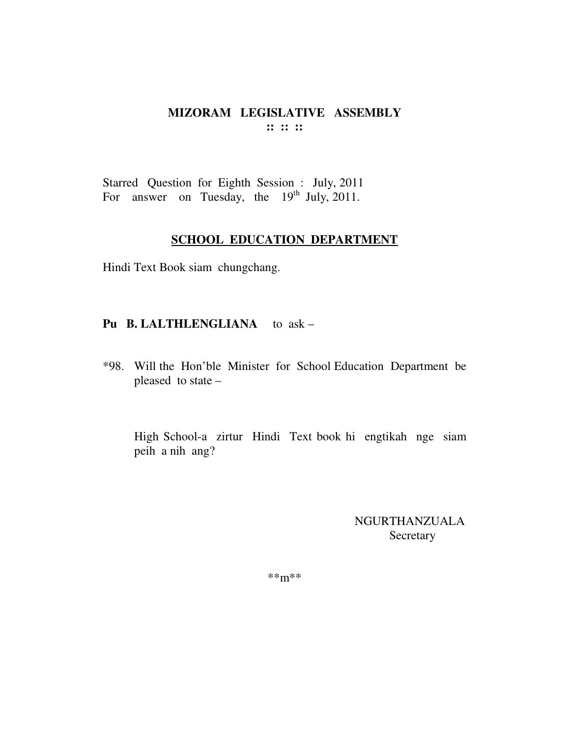Starred Question for Eighth Session : July, 2011 For answer on Tuesday, the  $19<sup>th</sup>$  July, 2011.

#### **SCHOOL EDUCATION DEPARTMENT**

Hindi Text Book siam chungchang.

#### **Pu B. LALTHLENGLIANA** to ask –

\*98. Will the Hon'ble Minister for School Education Department be pleased to state –

 High School-a zirtur Hindi Text book hi engtikah nge siam peih a nih ang?

> NGURTHANZUALA Secretary

\*\*m\*\*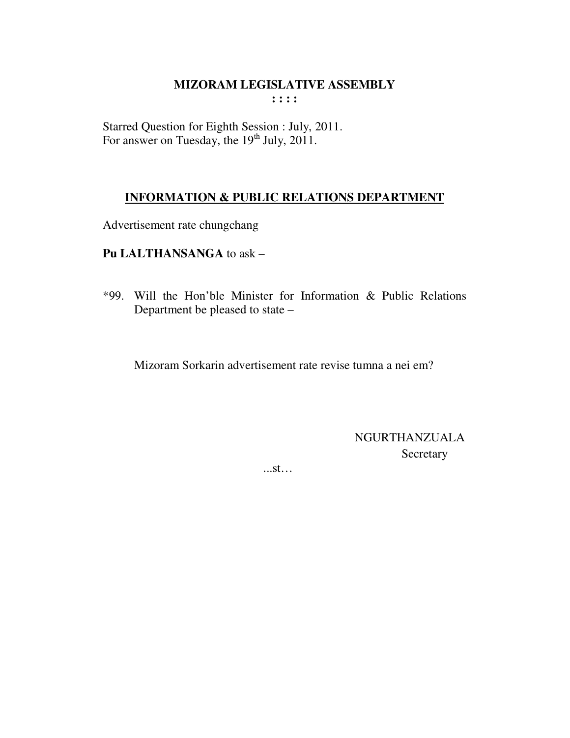Starred Question for Eighth Session : July, 2011. For answer on Tuesday, the 19<sup>th</sup> July, 2011.

## **INFORMATION & PUBLIC RELATIONS DEPARTMENT**

Advertisement rate chungchang

Pu LALTHANSANGA to ask -

\*99. Will the Hon'ble Minister for Information & Public Relations Department be pleased to state -

Mizoram Sorkarin advertisement rate revise tumna a nei em?

**NGURTHANZUALA** Secretary

 $...st...$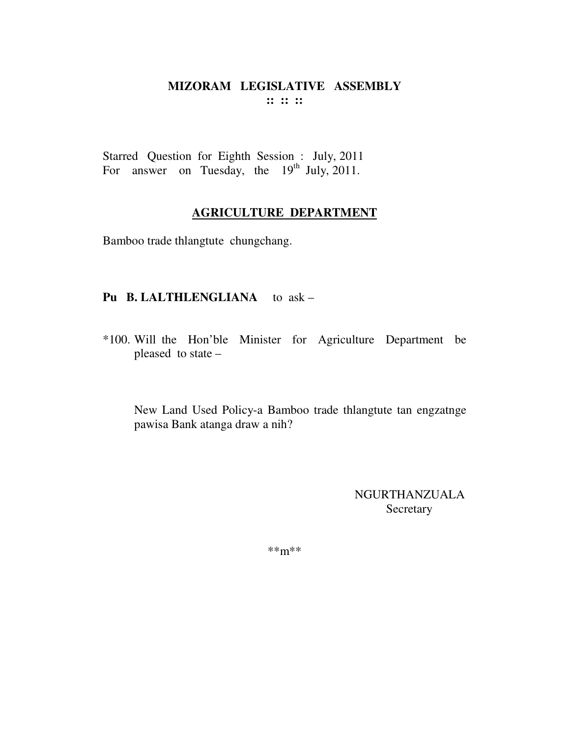#### MIZORAM LEGISLATIVE ASSEMBLY  $\mathbf{11}$   $\mathbf{12}$   $\mathbf{13}$

Starred Question for Eighth Session : July, 2011 For answer on Tuesday, the  $19<sup>th</sup>$  July, 2011.

## **AGRICULTURE DEPARTMENT**

Bamboo trade thlangtute chungchang.

#### Pu B. LALTHLENGLIANA to ask -

\*100. Will the Hon'ble Minister for Agriculture Department be pleased to state -

New Land Used Policy-a Bamboo trade thlangtute tan engzatnge pawisa Bank atanga draw a nih?

> **NGURTHANZUALA** Secretary

 $***m***$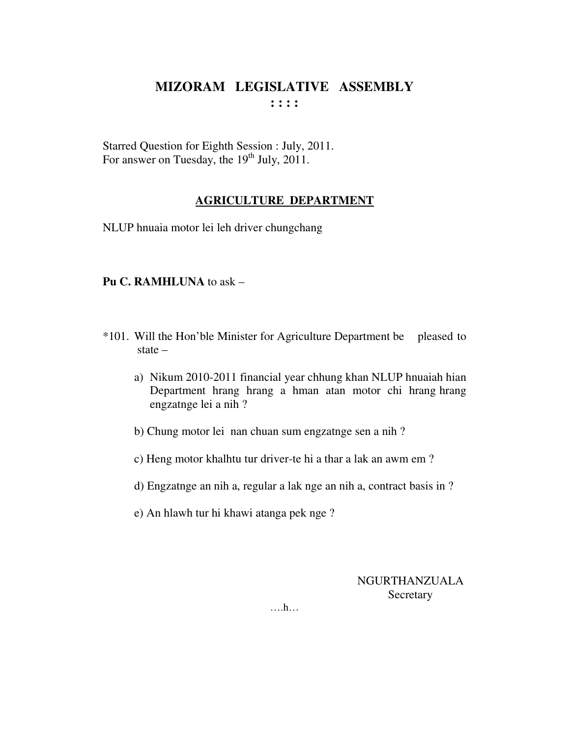Starred Question for Eighth Session : July, 2011. For answer on Tuesday, the  $19<sup>th</sup>$  July, 2011.

# **AGRICULTURE DEPARTMENT**

NLUP hnuaia motor lei leh driver chungchang

#### **Pu C. RAMHLUNA** to ask –

- \*101. Will the Hon'ble Minister for Agriculture Department be pleased to state –
	- a) Nikum 2010-2011 financial year chhung khan NLUP hnuaiah hian Department hrang hrang a hman atan motor chi hrang hrang engzatnge lei a nih ?
	- b) Chung motor lei nan chuan sum engzatnge sen a nih ?
	- c) Heng motor khalhtu tur driver-te hi a thar a lak an awm em ?
	- d) Engzatnge an nih a, regular a lak nge an nih a, contract basis in ?
	- e) An hlawh tur hi khawi atanga pek nge ?

NGURTHANZUALA **Secretary** 

….h…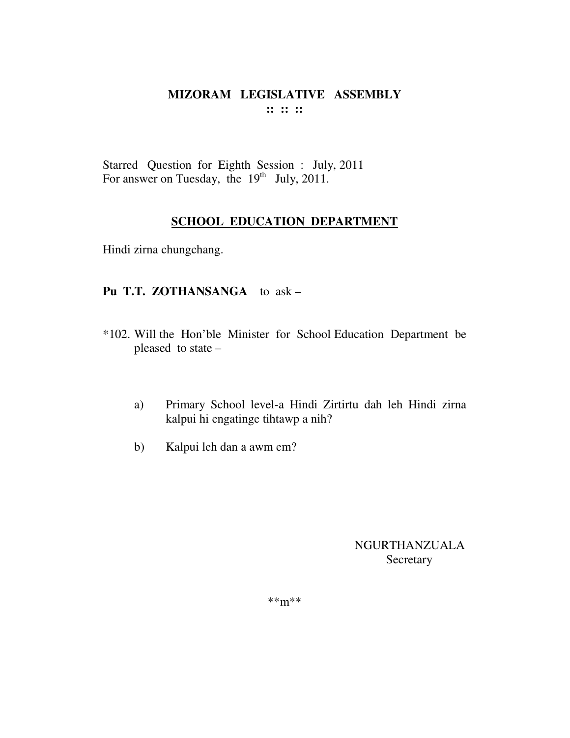Starred Question for Eighth Session : July, 2011 For answer on Tuesday, the  $19<sup>th</sup>$  July, 2011.

## **SCHOOL EDUCATION DEPARTMENT**

Hindi zirna chungchang.

## **Pu T.T. ZOTHANSANGA** to ask –

- \*102. Will the Hon'ble Minister for School Education Department be pleased to state –
	- a) Primary School level-a Hindi Zirtirtu dah leh Hindi zirna kalpui hi engatinge tihtawp a nih?
	- b) Kalpui leh dan a awm em?

NGURTHANZUALA **Secretary** 

\*\*m\*\*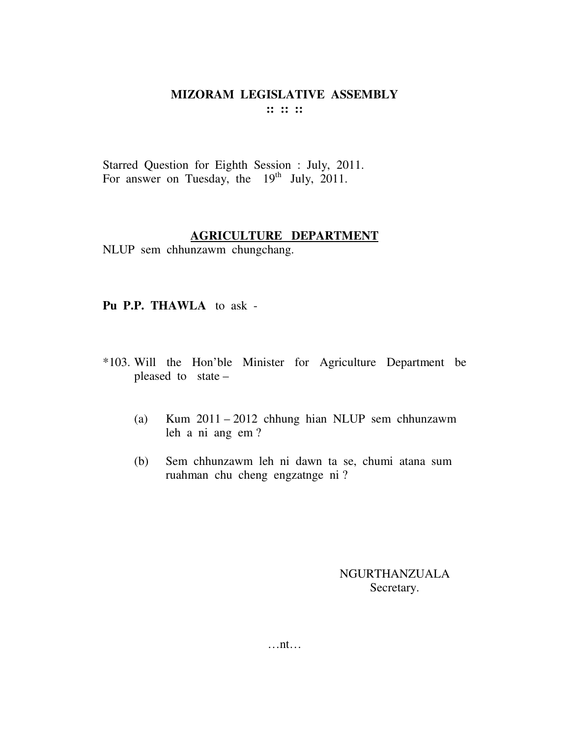Starred Question for Eighth Session : July, 2011. For answer on Tuesday, the  $19<sup>th</sup>$  July, 2011.

#### **AGRICULTURE DEPARTMENT**

NLUP sem chhunzawm chungchang.

**Pu P.P. THAWLA** to ask -

- \*103. Will the Hon'ble Minister for Agriculture Department be pleased to state –
	- (a) Kum 2011 2012 chhung hian NLUP sem chhunzawm leh a ni ang em ?
	- (b) Sem chhunzawm leh ni dawn ta se, chumi atana sum ruahman chu cheng engzatnge ni ?

#### NGURTHANZUALA Secretary.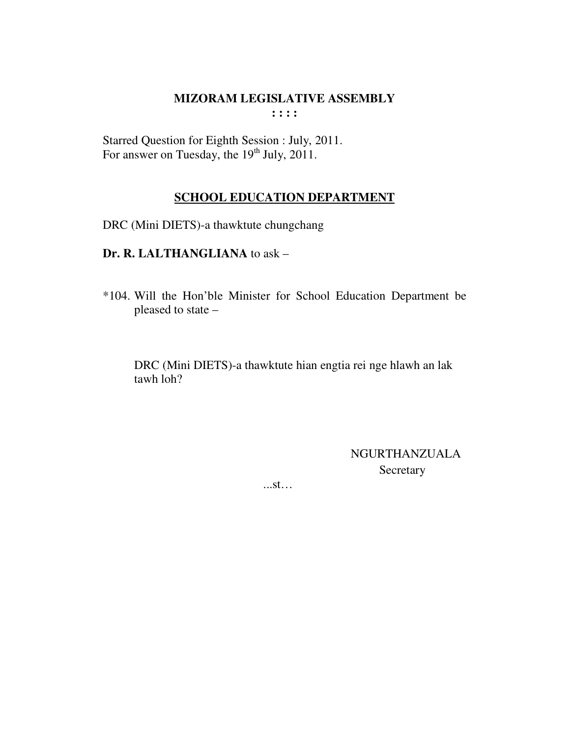Starred Question for Eighth Session : July, 2011.<br>For answer on Tuesday, the 19<sup>th</sup> July, 2011.

## **SCHOOL EDUCATION DEPARTMENT**

DRC (Mini DIETS)-a thawktute chungchang

# Dr. R. LALTHANGLIANA to ask -

\*104. Will the Hon'ble Minister for School Education Department be pleased to state -

DRC (Mini DIETS)-a thawktute hian engtia rei nge hlawh an lak tawh loh?

> **NGURTHANZUALA** Secretary

 $...st...$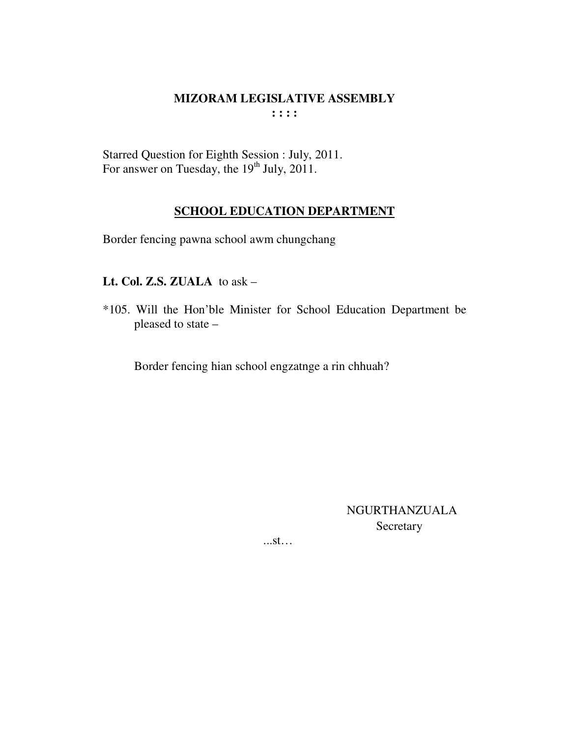Starred Question for Eighth Session : July, 2011.<br>For answer on Tuesday, the 19<sup>th</sup> July, 2011.

# **SCHOOL EDUCATION DEPARTMENT**

Border fencing pawna school awm chungchang

# Lt. Col. Z.S. ZUALA to ask -

\*105. Will the Hon'ble Minister for School Education Department be pleased to state -

Border fencing hian school engzatnge a rin chhuah?

NGURTHANZUALA Secretary

 $...st...$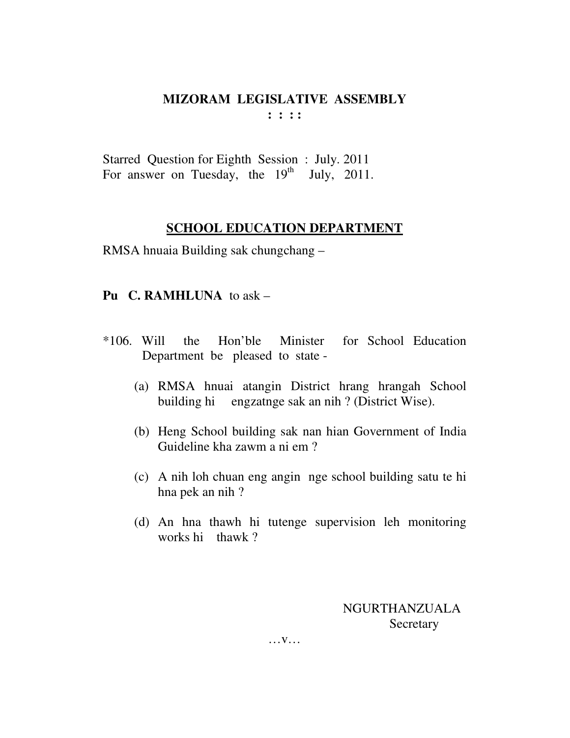Starred Question for Eighth Session : July. 2011 For answer on Tuesday, the  $19<sup>th</sup>$  July, 2011.

# **SCHOOL EDUCATION DEPARTMENT**

RMSA hnuaia Building sak chungchang –

# **Pu C. RAMHLUNA** to ask –

- \*106. Will the Hon'ble Minister for School Education Department be pleased to state -
	- (a) RMSA hnuai atangin District hrang hrangah School building hi engzatnge sak an nih ? (District Wise).
	- (b) Heng School building sak nan hian Government of India Guideline kha zawm a ni em ?
	- (c) A nih loh chuan eng angin nge school building satu te hi hna pek an nih ?
	- (d) An hna thawh hi tutenge supervision leh monitoring works hi thawk ?

 NGURTHANZUALA **Secretary** 

… v…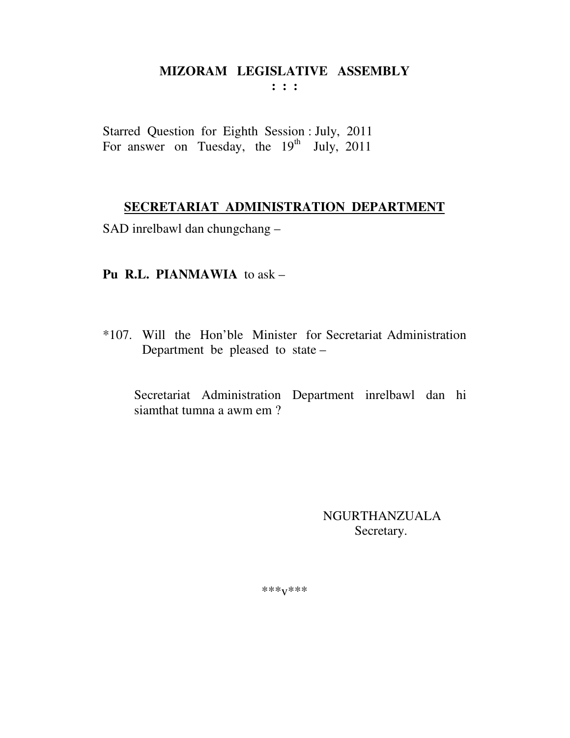## MIZORAM LEGISLATIVE ASSEMBLY  $\mathbf{1}$   $\mathbf{1}$   $\mathbf{1}$

Starred Question for Eighth Session : July, 2011 For answer on Tuesday, the 19<sup>th</sup> July, 2011

# SECRETARIAT ADMINISTRATION DEPARTMENT

SAD inrelbawl dan chungchang -

# **Pu R.L. PIANMAWIA** to ask  $-$

\*107. Will the Hon'ble Minister for Secretariat Administration Department be pleased to state -

Secretariat Administration Department inrelbawl dan hi siamthat tumna a awm em?

> **NGURTHANZUALA** Secretary.

 $***V***$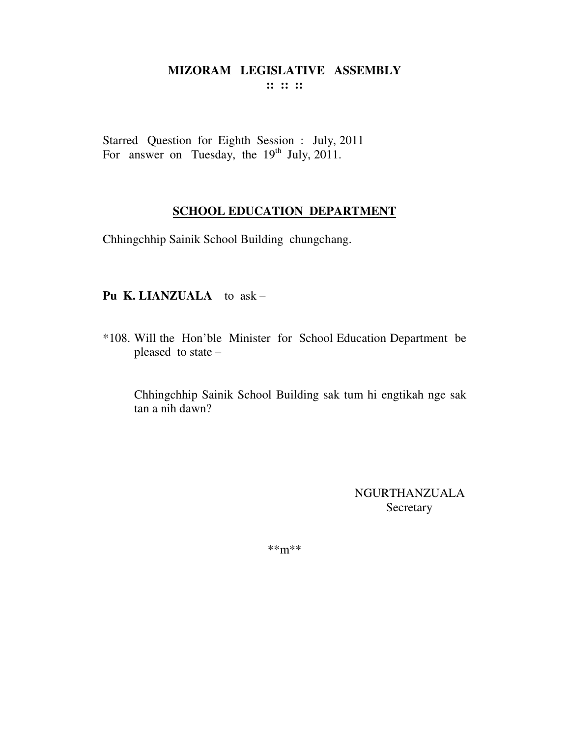**:: :: ::** 

Starred Question for Eighth Session : July, 2011 For answer on Tuesday, the  $19<sup>th</sup>$  July, 2011.

## **SCHOOL EDUCATION DEPARTMENT**

Chhingchhip Sainik School Building chungchang.

## **Pu K. LIANZUALA** to ask –

\*108. Will the Hon'ble Minister for School Education Department be pleased to state –

Chhingchhip Sainik School Building sak tum hi engtikah nge sak tan a nih dawn?

> NGURTHANZUALA Secretary

\*\*m\*\*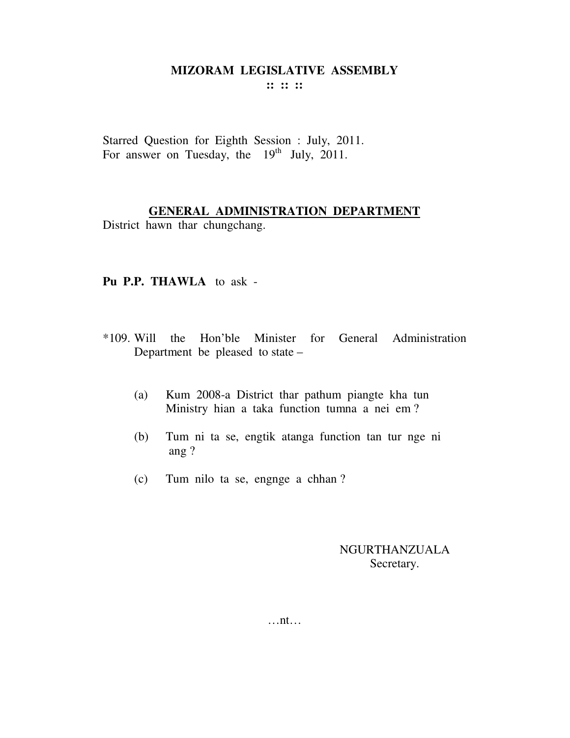**:: :: ::** 

Starred Question for Eighth Session : July, 2011. For answer on Tuesday, the  $19<sup>th</sup>$  July, 2011.

## **GENERAL ADMINISTRATION DEPARTMENT**

District hawn thar chungchang.

#### **Pu P.P. THAWLA** to ask -

- \*109. Will the Hon'ble Minister for General Administration Department be pleased to state –
	- (a) Kum 2008-a District thar pathum piangte kha tun Ministry hian a taka function tumna a nei em ?
	- (b) Tum ni ta se, engtik atanga function tan tur nge ni ang ?
	- (c) Tum nilo ta se, engnge a chhan ?

## NGURTHANZUALA Secretary.

…nt…